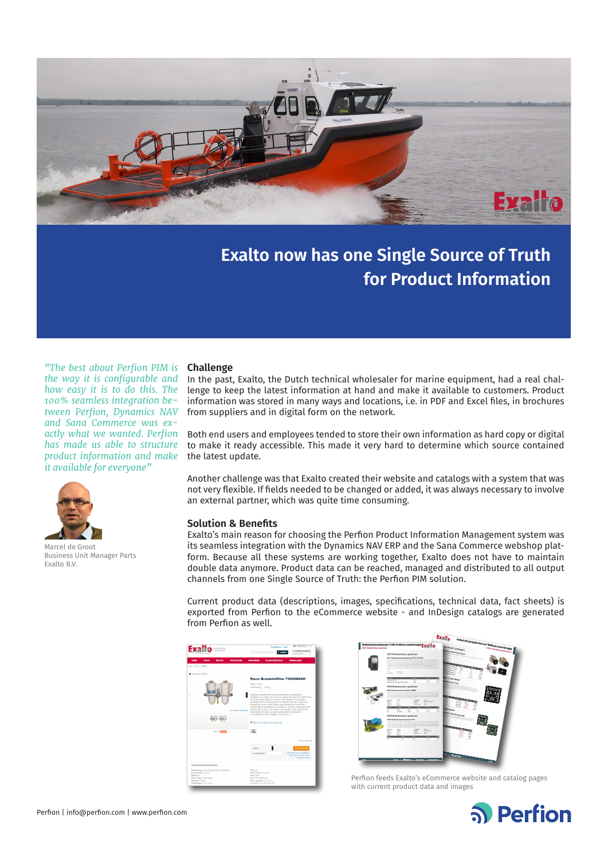

# **Exalto now has one Single Source of Truth for Product Information**

*"The best about Perfion PIM is the way it is configurable and how easy it is to do this. The 100% seamless integration between Perfion, Dynamics NAV and Sana Commerce was exactly what we wanted. Perfion has made us able to structure product information and make it available for everyone"*



Marcel de Groot Business Unit Manager Parts Exalto B.V.

## **Challenge**

In the past, Exalto, the Dutch technical wholesaler for marine equipment, had a real challenge to keep the latest information at hand and make it available to customers. Product information was stored in many ways and locations, i.e. in PDF and Excel files, in brochures from suppliers and in digital form on the network.

Both end users and employees tended to store their own information as hard copy or digital to make it ready accessible. This made it very hard to determine which source contained the latest update.

Another challenge was that Exalto created their website and catalogs with a system that was not very flexible. If fields needed to be changed or added, it was always necessary to involve an external partner, which was quite time consuming.

## **Solution & Benefits**

Exalto's main reason for choosing the Perfion Product Information Management system was its seamless integration with the Dynamics NAV ERP and the Sana Commerce webshop platform. Because all these systems are working together, Exalto does not have to maintain double data anymore. Product data can be reached, managed and distributed to all output channels from one Single Source of Truth: the Perfion PIM solution.

Current product data (descriptions, images, specifications, technical data, fact sheets) is exported from Perfion to the eCommerce website - and InDesign catalogs are generated from Perfion as well.





Perfion feeds Exalto's eCommerce website and catalog pages with current product data and images